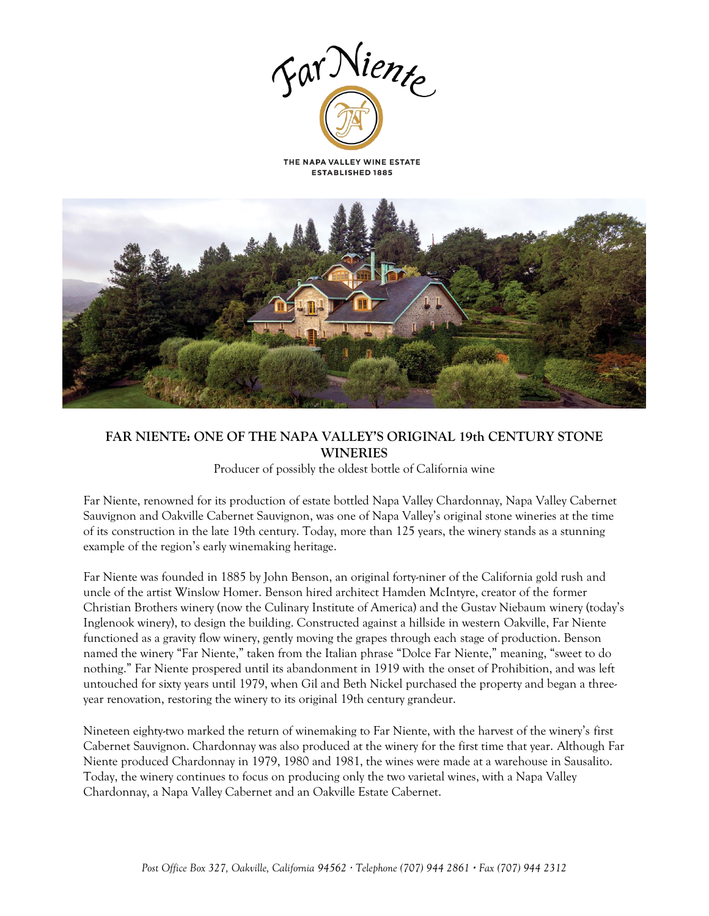



# **FAR NIENTE: ONE OF THE NAPA VALLEY'S ORIGINAL 19th CENTURY STONE WINERIES**

Producer of possibly the oldest bottle of California wine

Far Niente, renowned for its production of estate bottled Napa Valley Chardonnay, Napa Valley Cabernet Sauvignon and Oakville Cabernet Sauvignon, was one of Napa Valley's original stone wineries at the time of its construction in the late 19th century. Today, more than 125 years, the winery stands as a stunning example of the region's early winemaking heritage.

Far Niente was founded in 1885 by John Benson, an original forty-niner of the California gold rush and uncle of the artist Winslow Homer. Benson hired architect Hamden McIntyre, creator of the former Christian Brothers winery (now the Culinary Institute of America) and the Gustav Niebaum winery (today's Inglenook winery), to design the building. Constructed against a hillside in western Oakville, Far Niente functioned as a gravity flow winery, gently moving the grapes through each stage of production. Benson named the winery "Far Niente," taken from the Italian phrase "Dolce Far Niente," meaning, "sweet to do nothing." Far Niente prospered until its abandonment in 1919 with the onset of Prohibition, and was left untouched for sixty years until 1979, when Gil and Beth Nickel purchased the property and began a threeyear renovation, restoring the winery to its original 19th century grandeur.

Nineteen eighty-two marked the return of winemaking to Far Niente, with the harvest of the winery's first Cabernet Sauvignon. Chardonnay was also produced at the winery for the first time that year. Although Far Niente produced Chardonnay in 1979, 1980 and 1981, the wines were made at a warehouse in Sausalito. Today, the winery continues to focus on producing only the two varietal wines, with a Napa Valley Chardonnay, a Napa Valley Cabernet and an Oakville Estate Cabernet.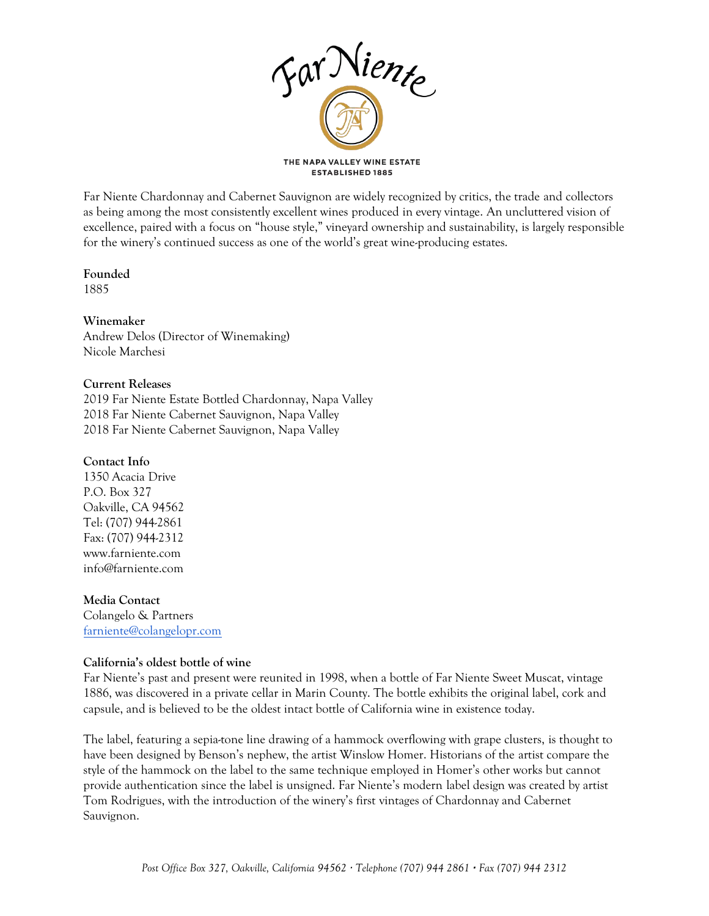

Far Niente Chardonnay and Cabernet Sauvignon are widely recognized by critics, the trade and collectors as being among the most consistently excellent wines produced in every vintage. An uncluttered vision of excellence, paired with a focus on "house style," vineyard ownership and sustainability, is largely responsible for the winery's continued success as one of the world's great wine-producing estates.

# **Founded**

1885

# **Winemaker**

Andrew Delos (Director of Winemaking) Nicole Marchesi

# **Current Releases**

2019 Far Niente Estate Bottled Chardonnay, Napa Valley 2018 Far Niente Cabernet Sauvignon, Napa Valley 2018 Far Niente Cabernet Sauvignon, Napa Valley

# **Contact Info**

1350 Acacia Drive P.O. Box 327 Oakville, CA 94562 Tel: (707) 944-2861 Fax: (707) 944-2312 www.farniente.com info@farniente.com

### **Media Contact**

Colangelo & Partners [farniente@colangelopr.com](mailto:farniente@colangelopr.com)

# **California's oldest bottle of wine**

Far Niente's past and present were reunited in 1998, when a bottle of Far Niente Sweet Muscat, vintage 1886, was discovered in a private cellar in Marin County. The bottle exhibits the original label, cork and capsule, and is believed to be the oldest intact bottle of California wine in existence today.

The label, featuring a sepia-tone line drawing of a hammock overflowing with grape clusters, is thought to have been designed by Benson's nephew, the artist Winslow Homer. Historians of the artist compare the style of the hammock on the label to the same technique employed in Homer's other works but cannot provide authentication since the label is unsigned. Far Niente's modern label design was created by artist Tom Rodrigues, with the introduction of the winery's first vintages of Chardonnay and Cabernet Sauvignon.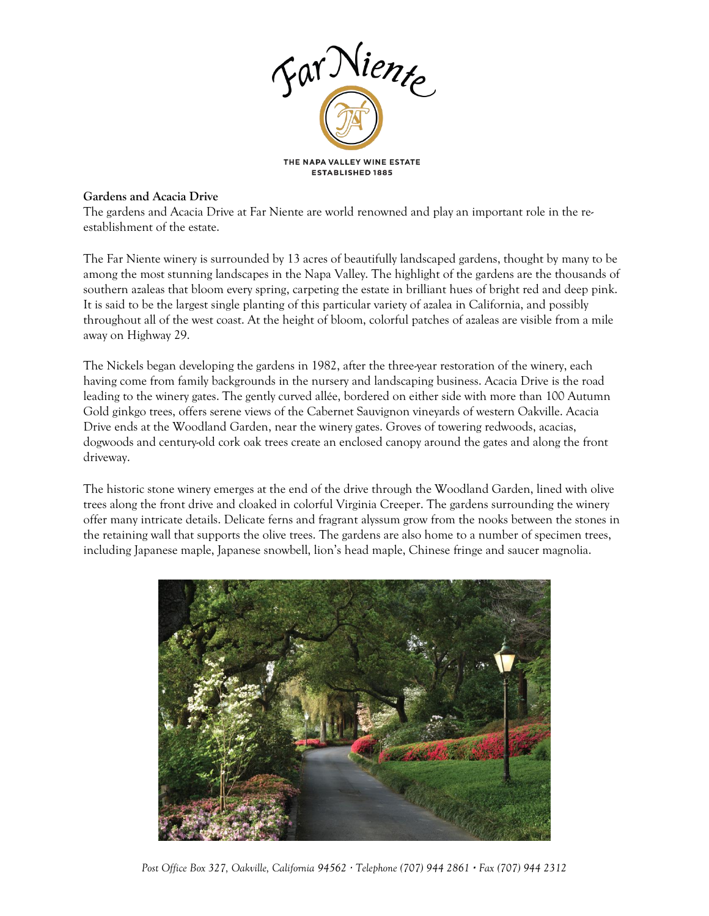

## **Gardens and Acacia Drive**

The gardens and Acacia Drive at Far Niente are world renowned and play an important role in the reestablishment of the estate.

The Far Niente winery is surrounded by 13 acres of beautifully landscaped gardens, thought by many to be among the most stunning landscapes in the Napa Valley. The highlight of the gardens are the thousands of southern azaleas that bloom every spring, carpeting the estate in brilliant hues of bright red and deep pink. It is said to be the largest single planting of this particular variety of azalea in California, and possibly throughout all of the west coast. At the height of bloom, colorful patches of azaleas are visible from a mile away on Highway 29.

The Nickels began developing the gardens in 1982, after the three-year restoration of the winery, each having come from family backgrounds in the nursery and landscaping business. Acacia Drive is the road leading to the winery gates. The gently curved allée, bordered on either side with more than 100 Autumn Gold ginkgo trees, offers serene views of the Cabernet Sauvignon vineyards of western Oakville. Acacia Drive ends at the Woodland Garden, near the winery gates. Groves of towering redwoods, acacias, dogwoods and century-old cork oak trees create an enclosed canopy around the gates and along the front driveway.

The historic stone winery emerges at the end of the drive through the Woodland Garden, lined with olive trees along the front drive and cloaked in colorful Virginia Creeper. The gardens surrounding the winery offer many intricate details. Delicate ferns and fragrant alyssum grow from the nooks between the stones in the retaining wall that supports the olive trees. The gardens are also home to a number of specimen trees, including Japanese maple, Japanese snowbell, lion's head maple, Chinese fringe and saucer magnolia.



*Post Office Box 327, Oakville, California 94562 · Telephone (707) 944 2861 · Fax (707) 944 2312*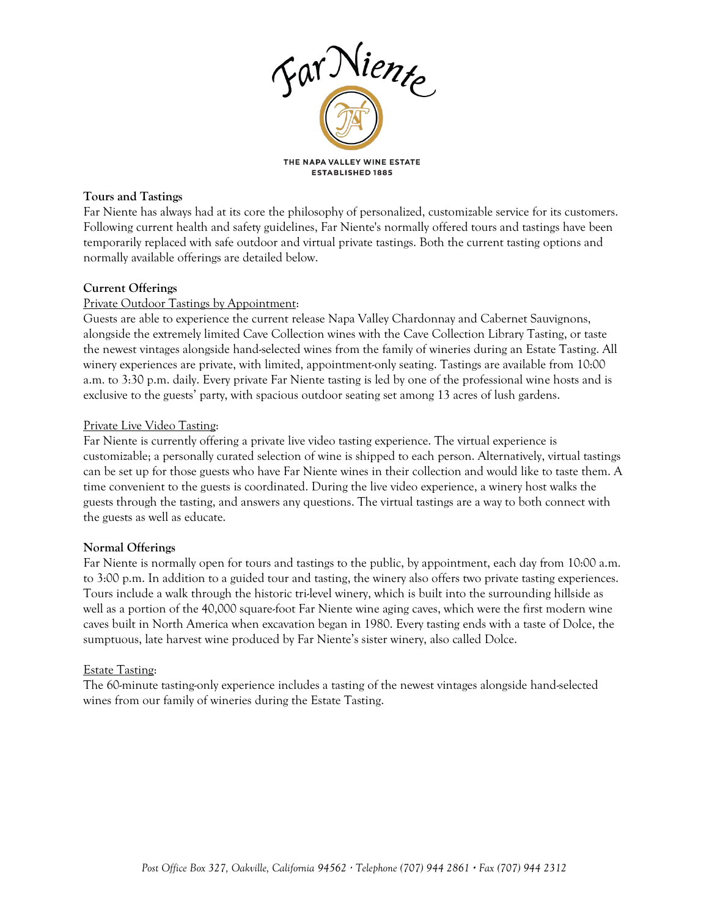

### **Tours and Tastings**

Far Niente has always had at its core the philosophy of personalized, customizable service for its customers. Following current health and safety guidelines, Far Niente's normally offered tours and tastings have been temporarily replaced with safe outdoor and virtual private tastings. Both the current tasting options and normally available offerings are detailed below.

# **Current Offerings**

# Private Outdoor Tastings by Appointment:

Guests are able to experience the current release Napa Valley Chardonnay and Cabernet Sauvignons, alongside the extremely limited Cave Collection wines with the Cave Collection Library Tasting, or taste the newest vintages alongside hand-selected wines from the family of wineries during an Estate Tasting. All winery experiences are private, with limited, appointment-only seating. Tastings are available from 10:00 a.m. to 3:30 p.m. daily. Every private Far Niente tasting is led by one of the professional wine hosts and is exclusive to the guests' party, with spacious outdoor seating set among 13 acres of lush gardens.

### Private Live Video Tasting:

Far Niente is currently offering a private live video tasting experience. The virtual experience is customizable; a personally curated selection of wine is shipped to each person. Alternatively, virtual tastings can be set up for those guests who have Far Niente wines in their collection and would like to taste them. A time convenient to the guests is coordinated. During the live video experience, a winery host walks the guests through the tasting, and answers any questions. The virtual tastings are a way to both connect with the guests as well as educate.

# **Normal Offerings**

Far Niente is normally open for tours and tastings to the public, by appointment, each day from 10:00 a.m. to 3:00 p.m. In addition to a guided tour and tasting, the winery also offers two private tasting experiences. Tours include a walk through the historic tri-level winery, which is built into the surrounding hillside as well as a portion of the 40,000 square-foot Far Niente wine aging caves, which were the first modern wine caves built in North America when excavation began in 1980. Every tasting ends with a taste of Dolce, the sumptuous, late harvest wine produced by Far Niente's sister winery, also called Dolce.

### Estate Tasting:

The 60-minute tasting-only experience includes a tasting of the newest vintages alongside hand-selected wines from our family of wineries during the Estate Tasting.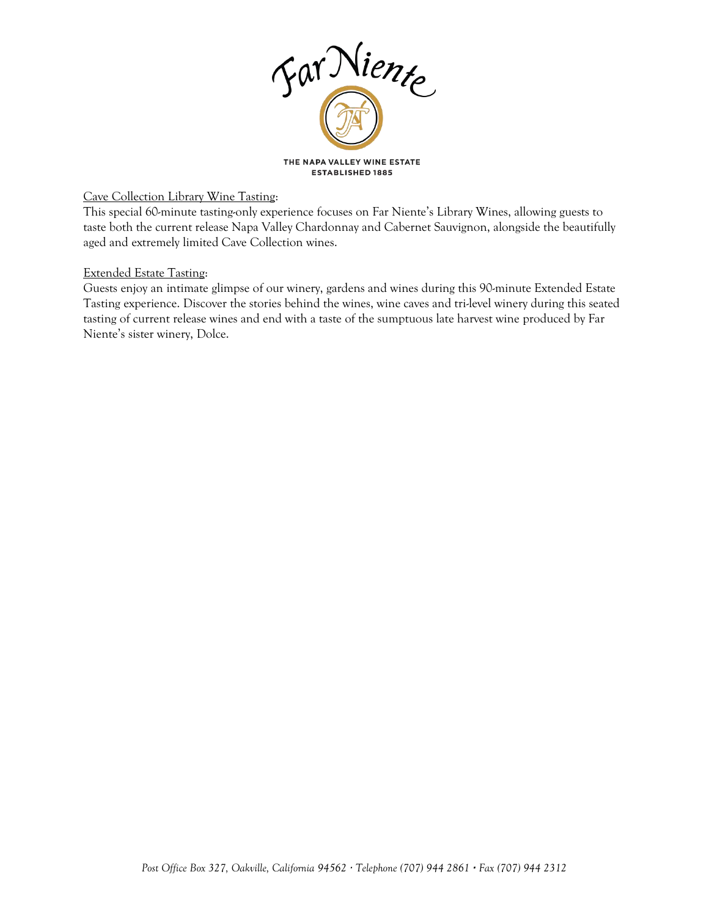

## Cave Collection Library Wine Tasting:

This special 60-minute tasting-only experience focuses on Far Niente's Library Wines, allowing guests to taste both the current release Napa Valley Chardonnay and Cabernet Sauvignon, alongside the beautifully aged and extremely limited Cave Collection wines.

### Extended Estate Tasting:

Guests enjoy an intimate glimpse of our winery, gardens and wines during this 90-minute Extended Estate Tasting experience. Discover the stories behind the wines, wine caves and tri-level winery during this seated tasting of current release wines and end with a taste of the sumptuous late harvest wine produced by Far Niente's sister winery, Dolce.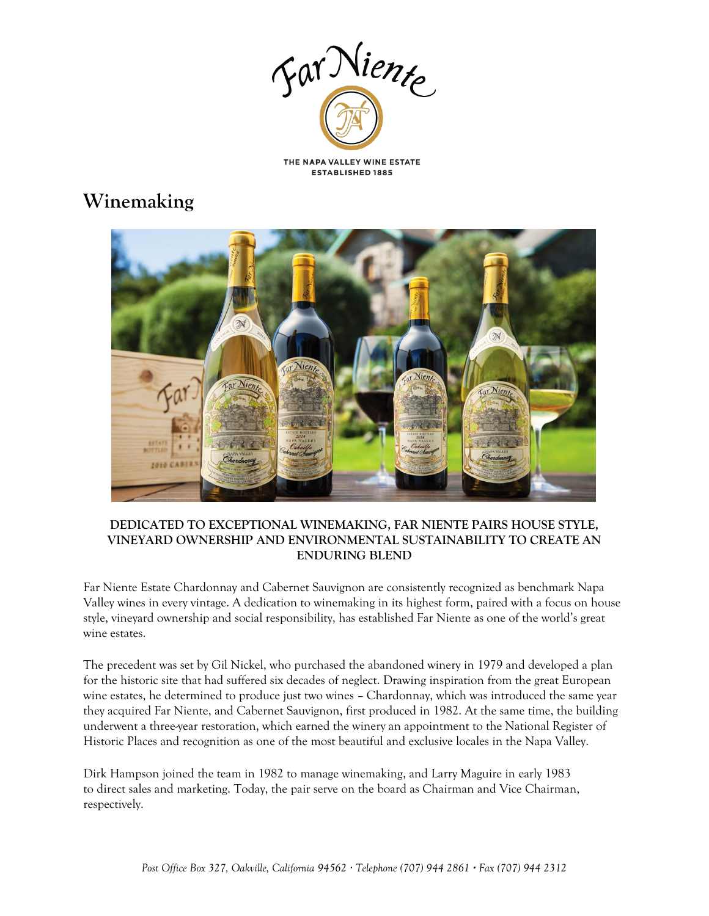

# **Winemaking**



## **DEDICATED TO EXCEPTIONAL WINEMAKING, FAR NIENTE PAIRS HOUSE STYLE, VINEYARD OWNERSHIP AND ENVIRONMENTAL SUSTAINABILITY TO CREATE AN ENDURING BLEND**

Far Niente Estate Chardonnay and Cabernet Sauvignon are consistently recognized as benchmark Napa Valley wines in every vintage. A dedication to winemaking in its highest form, paired with a focus on house style, vineyard ownership and social responsibility, has established Far Niente as one of the world's great wine estates.

The precedent was set by Gil Nickel, who purchased the abandoned winery in 1979 and developed a plan for the historic site that had suffered six decades of neglect. Drawing inspiration from the great European wine estates, he determined to produce just two wines – Chardonnay, which was introduced the same year they acquired Far Niente, and Cabernet Sauvignon, first produced in 1982. At the same time, the building underwent a three-year restoration, which earned the winery an appointment to the National Register of Historic Places and recognition as one of the most beautiful and exclusive locales in the Napa Valley.

Dirk Hampson joined the team in 1982 to manage winemaking, and Larry Maguire in early 1983 to direct sales and marketing. Today, the pair serve on the board as Chairman and Vice Chairman, respectively.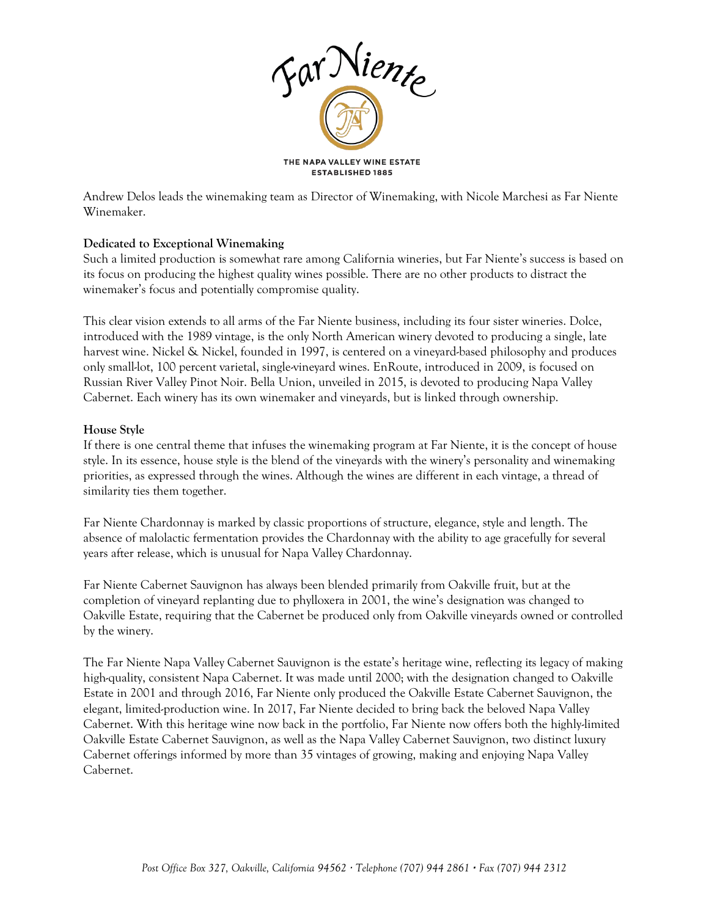

Andrew Delos leads the winemaking team as Director of Winemaking, with Nicole Marchesi as Far Niente Winemaker.

# **Dedicated to Exceptional Winemaking**

Such a limited production is somewhat rare among California wineries, but Far Niente's success is based on its focus on producing the highest quality wines possible. There are no other products to distract the winemaker's focus and potentially compromise quality.

This clear vision extends to all arms of the Far Niente business, including its four sister wineries. Dolce, introduced with the 1989 vintage, is the only North American winery devoted to producing a single, late harvest wine. Nickel & Nickel, founded in 1997, is centered on a vineyard-based philosophy and produces only small-lot, 100 percent varietal, single-vineyard wines. EnRoute, introduced in 2009, is focused on Russian River Valley Pinot Noir. Bella Union, unveiled in 2015, is devoted to producing Napa Valley Cabernet. Each winery has its own winemaker and vineyards, but is linked through ownership.

### **House Style**

If there is one central theme that infuses the winemaking program at Far Niente, it is the concept of house style. In its essence, house style is the blend of the vineyards with the winery's personality and winemaking priorities, as expressed through the wines. Although the wines are different in each vintage, a thread of similarity ties them together.

Far Niente Chardonnay is marked by classic proportions of structure, elegance, style and length. The absence of malolactic fermentation provides the Chardonnay with the ability to age gracefully for several years after release, which is unusual for Napa Valley Chardonnay.

Far Niente Cabernet Sauvignon has always been blended primarily from Oakville fruit, but at the completion of vineyard replanting due to phylloxera in 2001, the wine's designation was changed to Oakville Estate, requiring that the Cabernet be produced only from Oakville vineyards owned or controlled by the winery.

The Far Niente Napa Valley Cabernet Sauvignon is the estate's heritage wine, reflecting its legacy of making high-quality, consistent Napa Cabernet. It was made until 2000; with the designation changed to Oakville Estate in 2001 and through 2016, Far Niente only produced the Oakville Estate Cabernet Sauvignon, the elegant, limited-production wine. In 2017, Far Niente decided to bring back the beloved Napa Valley Cabernet. With this heritage wine now back in the portfolio, Far Niente now offers both the highly-limited Oakville Estate Cabernet Sauvignon, as well as the Napa Valley Cabernet Sauvignon, two distinct luxury Cabernet offerings informed by more than 35 vintages of growing, making and enjoying Napa Valley Cabernet.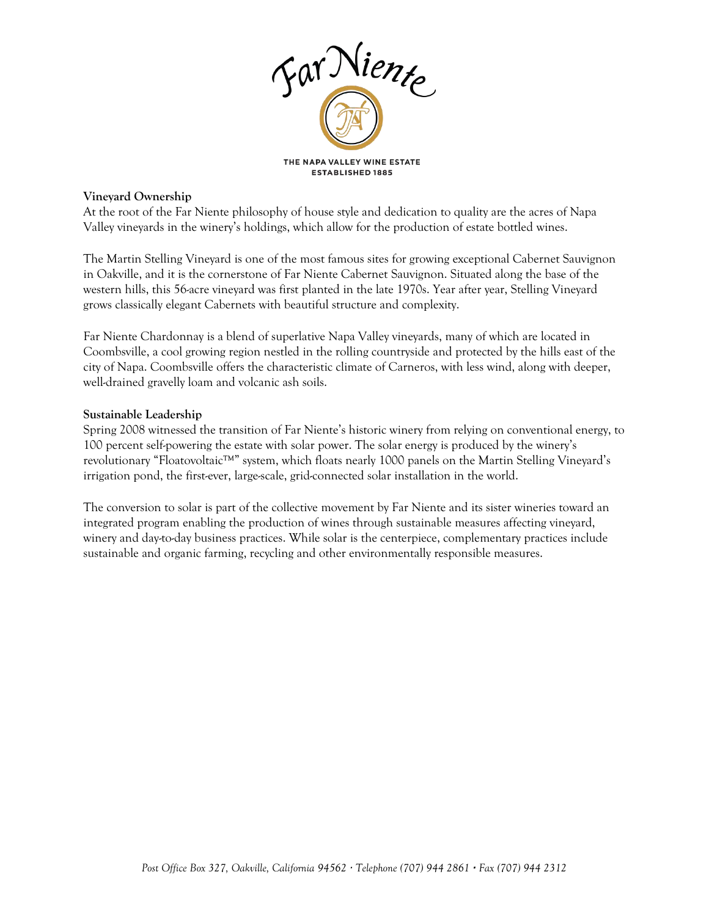

### **Vineyard Ownership**

At the root of the Far Niente philosophy of house style and dedication to quality are the acres of Napa Valley vineyards in the winery's holdings, which allow for the production of estate bottled wines.

The Martin Stelling Vineyard is one of the most famous sites for growing exceptional Cabernet Sauvignon in Oakville, and it is the cornerstone of Far Niente Cabernet Sauvignon. Situated along the base of the western hills, this 56-acre vineyard was first planted in the late 1970s. Year after year, Stelling Vineyard grows classically elegant Cabernets with beautiful structure and complexity.

Far Niente Chardonnay is a blend of superlative Napa Valley vineyards, many of which are located in Coombsville, a cool growing region nestled in the rolling countryside and protected by the hills east of the city of Napa. Coombsville offers the characteristic climate of Carneros, with less wind, along with deeper, well-drained gravelly loam and volcanic ash soils.

### **Sustainable Leadership**

Spring 2008 witnessed the transition of Far Niente's historic winery from relying on conventional energy, to 100 percent self-powering the estate with solar power. The solar energy is produced by the winery's revolutionary "Floatovoltaic™" system, which floats nearly 1000 panels on the Martin Stelling Vineyard's irrigation pond, the first-ever, large-scale, grid-connected solar installation in the world.

The conversion to solar is part of the collective movement by Far Niente and its sister wineries toward an integrated program enabling the production of wines through sustainable measures affecting vineyard, winery and day-to-day business practices. While solar is the centerpiece, complementary practices include sustainable and organic farming, recycling and other environmentally responsible measures.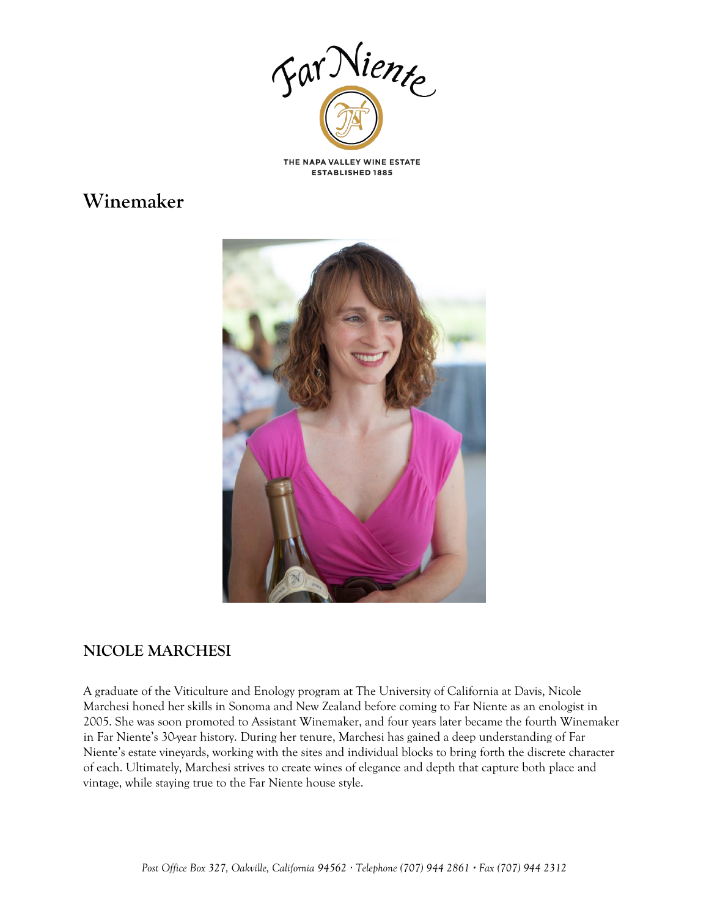

# **Winemaker**



# **NICOLE MARCHESI**

A graduate of the Viticulture and Enology program at The University of California at Davis, Nicole Marchesi honed her skills in Sonoma and New Zealand before coming to Far Niente as an enologist in 2005. She was soon promoted to Assistant Winemaker, and four years later became the fourth Winemaker in Far Niente's 30-year history. During her tenure, Marchesi has gained a deep understanding of Far Niente's estate vineyards, working with the sites and individual blocks to bring forth the discrete character of each. Ultimately, Marchesi strives to create wines of elegance and depth that capture both place and vintage, while staying true to the Far Niente house style.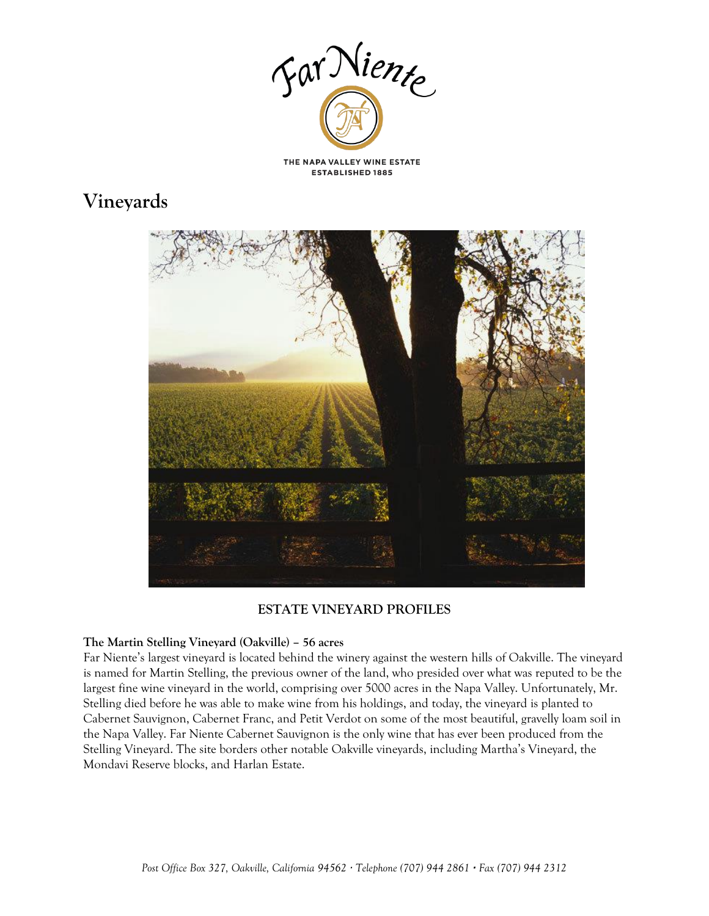

# **Vineyards**



# **ESTATE VINEYARD PROFILES**

### **The Martin Stelling Vineyard (Oakville) – 56 acres**

Far Niente's largest vineyard is located behind the winery against the western hills of Oakville. The vineyard is named for Martin Stelling, the previous owner of the land, who presided over what was reputed to be the largest fine wine vineyard in the world, comprising over 5000 acres in the Napa Valley. Unfortunately, Mr. Stelling died before he was able to make wine from his holdings, and today, the vineyard is planted to Cabernet Sauvignon, Cabernet Franc, and Petit Verdot on some of the most beautiful, gravelly loam soil in the Napa Valley. Far Niente Cabernet Sauvignon is the only wine that has ever been produced from the Stelling Vineyard. The site borders other notable Oakville vineyards, including Martha's Vineyard, the Mondavi Reserve blocks, and Harlan Estate.